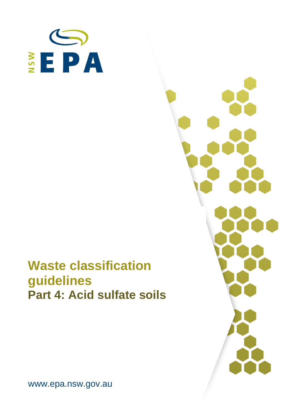

# **Waste classification guidelines Part 4: Acid sulfate soils**



www.epa.nsw.gov.au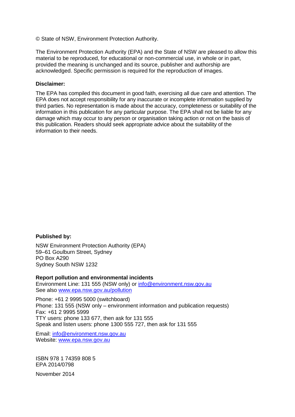© State of NSW, Environment Protection Authority.

The Environment Protection Authority (EPA) and the State of NSW are pleased to allow this material to be reproduced, for educational or non-commercial use, in whole or in part, provided the meaning is unchanged and its source, publisher and authorship are acknowledged. Specific permission is required for the reproduction of images.

#### **Disclaimer:**

The EPA has compiled this document in good faith, exercising all due care and attention. The EPA does not accept responsibility for any inaccurate or incomplete information supplied by third parties. No representation is made about the accuracy, completeness or suitability of the information in this publication for any particular purpose. The EPA shall not be liable for any damage which may occur to any person or organisation taking action or not on the basis of this publication. Readers should seek appropriate advice about the suitability of the information to their needs.

#### **Published by:**

NSW Environment Protection Authority (EPA) 59–61 Goulburn Street, Sydney PO Box A290 Sydney South NSW 1232

#### **Report pollution and environmental incidents**

Environment Line: 131 555 (NSW only) or [info@environment.nsw.gov.au](mailto:info@environment.nsw.gov.au) See also [www.epa.nsw.gov.au/pollution](http://www.epa.nsw.gov.au/pollution)

Phone: +61 2 9995 5000 (switchboard) Phone: 131 555 (NSW only – environment information and publication requests) Fax: +61 2 9995 5999 TTY users: phone 133 677, then ask for 131 555 Speak and listen users: phone 1300 555 727, then ask for 131 555

Email: [info@environment.nsw.gov.au](mailto:info@environment.nsw.gov.au) Website: [www.epa.nsw.gov.au](http://www.epa.nsw.gov.au/)

ISBN 978 1 74359 808 5 EPA 2014/0798

November 2014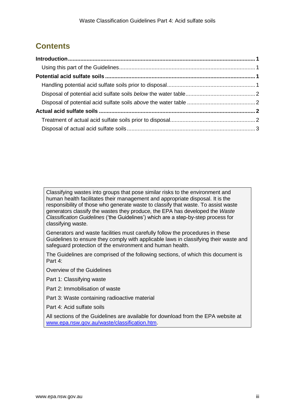# **Contents**

Classifying wastes into groups that pose similar risks to the environment and human health facilitates their management and appropriate disposal. It is the responsibility of those who generate waste to classify that waste. To assist waste generators classify the wastes they produce, the EPA has developed the *Waste Classification Guidelines* ('the Guidelines') which are a step-by-step process for classifying waste.

Generators and waste facilities must carefully follow the procedures in these Guidelines to ensure they comply with applicable laws in classifying their waste and safeguard protection of the environment and human health.

The Guidelines are comprised of the following sections, of which this document is Part 4:

Overview of the Guidelines

Part 1: Classifying waste

Part 2: Immobilisation of waste

Part 3: Waste containing radioactive material

Part 4: Acid sulfate soils

All sections of the Guidelines are available for download from the EPA website at [www.epa.nsw.gov.au/waste/classification.htm.](http://www.epa.nsw.gov.au/waste/classification.htm)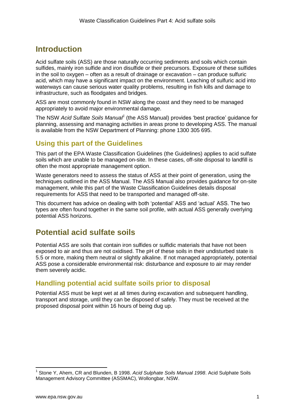# <span id="page-4-0"></span>**Introduction**

Acid sulfate soils (ASS) are those naturally occurring sediments and soils which contain sulfides, mainly iron sulfide and iron disulfide or their precursors. Exposure of these sulfides in the soil to oxygen – often as a result of drainage or excavation – can produce sulfuric acid, which may have a significant impact on the environment. Leaching of sulfuric acid into waterways can cause serious water quality problems, resulting in fish kills and damage to infrastructure, such as floodgates and bridges.

ASS are most commonly found in NSW along the coast and they need to be managed appropriately to avoid major environmental damage.

The NSW *Acid Sulfate Soils Manual<sup>1</sup>* (the ASS Manual) provides 'best practice' guidance for planning, assessing and managing activities in areas prone to developing ASS. The manual is available from the NSW Department of Planning: phone 1300 305 695.

## <span id="page-4-1"></span>**Using this part of the Guidelines**

This part of the EPA Waste Classification Guidelines (the Guidelines) applies to acid sulfate soils which are unable to be managed on-site. In these cases, off-site disposal to landfill is often the most appropriate management option.

Waste generators need to assess the status of ASS at their point of generation, using the techniques outlined in the ASS Manual. The ASS Manual also provides guidance for on-site management, while this part of the Waste Classification Guidelines details disposal requirements for ASS that need to be transported and managed off-site.

This document has advice on dealing with both 'potential' ASS and 'actual' ASS. The two types are often found together in the same soil profile, with actual ASS generally overlying potential ASS horizons.

# <span id="page-4-2"></span>**Potential acid sulfate soils**

Potential ASS are soils that contain iron sulfides or sulfidic materials that have not been exposed to air and thus are not oxidised. The pH of these soils in their undisturbed state is 5.5 or more, making them neutral or slightly alkaline. If not managed appropriately, potential ASS pose a considerable environmental risk: disturbance and exposure to air may render them severely acidic.

### <span id="page-4-3"></span>**Handling potential acid sulfate soils prior to disposal**

Potential ASS must be kept wet at all times during excavation and subsequent handling, transport and storage, until they can be disposed of safely. They must be received at the proposed disposal point within 16 hours of being dug up.

 $\overline{a}$ 

<sup>1</sup> Stone Y, Ahem, CR and Blunden, B 1998. *Acid Sulphate Soils Manual 1998*. Acid Sulphate Soils Management Advisory Committee (ASSMAC), Wollongbar, NSW.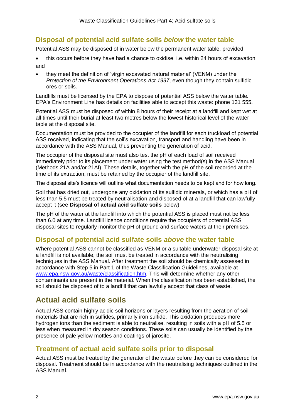# <span id="page-5-0"></span>**Disposal of potential acid sulfate soils** *below* **the water table**

Potential ASS may be disposed of in water below the permanent water table, provided:

- this occurs before they have had a chance to oxidise, i.e. within 24 hours of excavation and
- they meet the definition of 'virgin excavated natural material' (VENM) under the *Protection of the Environment Operations Act 1997*, even though they contain sulfidic ores or soils.

Landfills must be licensed by the EPA to dispose of potential ASS below the water table. EPA's Environment Line has details on facilities able to accept this waste: phone 131 555.

Potential ASS must be disposed of within 8 hours of their receipt at a landfill and kept wet at all times until their burial at least two metres below the lowest historical level of the water table at the disposal site.

Documentation must be provided to the occupier of the landfill for each truckload of potential ASS received, indicating that the soil's excavation, transport and handling have been in accordance with the ASS Manual, thus preventing the generation of acid.

The occupier of the disposal site must also test the pH of each load of soil received immediately prior to its placement under water using the test method(s) in the ASS Manual (Methods 21A and/or 21Af). These details, together with the pH of the soil recorded at the time of its extraction, must be retained by the occupier of the landfill site.

The disposal site's licence will outline what documentation needs to be kept and for how long.

Soil that has dried out, undergone any oxidation of its sulfidic minerals, or which has a pH of less than 5.5 must be treated by neutralisation and disposed of at a landfill that can lawfully accept it (see **Disposal of actual acid sulfate soils** below).

The pH of the water at the landfill into which the potential ASS is placed must not be less than 6.0 at any time. Landfill licence conditions require the occupiers of potential ASS disposal sites to regularly monitor the pH of ground and surface waters at their premises.

### <span id="page-5-1"></span>**Disposal of potential acid sulfate soils** *above* **the water table**

Where potential ASS cannot be classified as VENM or a suitable underwater disposal site at a landfill is not available, the soil must be treated in accordance with the neutralising techniques in the ASS Manual. After treatment the soil should be chemically assessed in accordance with Step 5 in Part 1 of the Waste Classification Guidelines, available at [www.epa.nsw.gov.au/waste/classification.htm.](http://www.epa.nsw.gov.au/waste/classification.htm) This will determine whether any other contaminants are present in the material. When the classification has been established, the soil should be disposed of to a landfill that can lawfully accept that class of waste.

# <span id="page-5-2"></span>**Actual acid sulfate soils**

Actual ASS contain highly acidic soil horizons or layers resulting from the aeration of soil materials that are rich in sulfides, primarily iron sulfide. This oxidation produces more hydrogen ions than the sediment is able to neutralise, resulting in soils with a pH of 5.5 or less when measured in dry season conditions. These soils can usually be identified by the presence of pale yellow mottles and coatings of jarosite.

### <span id="page-5-3"></span>**Treatment of actual acid sulfate soils prior to disposal**

Actual ASS must be treated by the generator of the waste before they can be considered for disposal. Treatment should be in accordance with the neutralising techniques outlined in the ASS Manual.